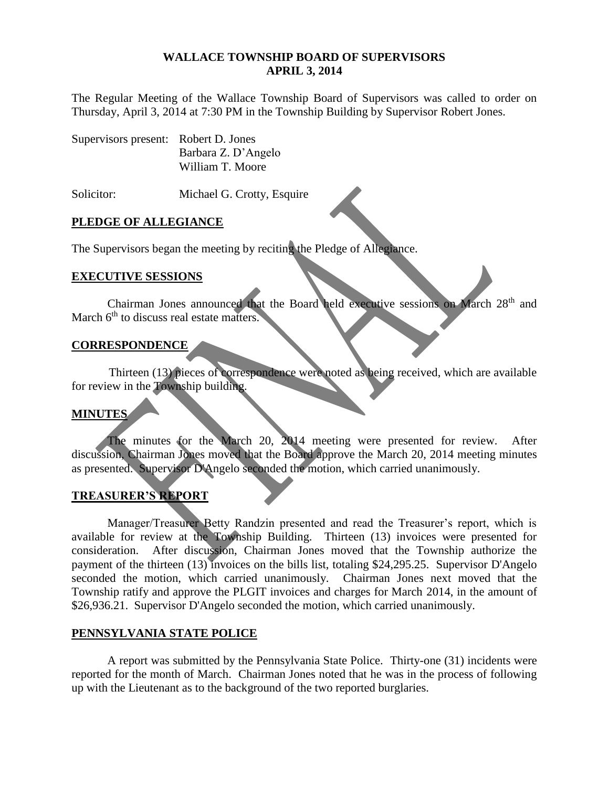### **WALLACE TOWNSHIP BOARD OF SUPERVISORS APRIL 3, 2014**

The Regular Meeting of the Wallace Township Board of Supervisors was called to order on Thursday, April 3, 2014 at 7:30 PM in the Township Building by Supervisor Robert Jones.

| Supervisors present: Robert D. Jones |                     |
|--------------------------------------|---------------------|
|                                      | Barbara Z. D'Angelo |
|                                      | William T. Moore    |

Solicitor: Michael G. Crotty, Esquire

### **PLEDGE OF ALLEGIANCE**

The Supervisors began the meeting by reciting the Pledge of Allegiance.

### **EXECUTIVE SESSIONS**

Chairman Jones announced that the Board held executive sessions on March 28th and March  $6<sup>th</sup>$  to discuss real estate matters.

### **CORRESPONDENCE**

Thirteen (13) pieces of correspondence were noted as being received, which are available for review in the Township building.

### **MINUTES**

The minutes for the March 20, 2014 meeting were presented for review. After discussion, Chairman Jones moved that the Board approve the March 20, 2014 meeting minutes as presented. Supervisor D'Angelo seconded the motion, which carried unanimously.

# **TREASURER'S REPORT**

Manager/Treasurer Betty Randzin presented and read the Treasurer's report, which is available for review at the Township Building. Thirteen (13) invoices were presented for consideration. After discussion, Chairman Jones moved that the Township authorize the payment of the thirteen (13) invoices on the bills list, totaling \$24,295.25. Supervisor D'Angelo seconded the motion, which carried unanimously. Chairman Jones next moved that the Township ratify and approve the PLGIT invoices and charges for March 2014, in the amount of \$26,936.21. Supervisor D'Angelo seconded the motion, which carried unanimously.

### **PENNSYLVANIA STATE POLICE**

A report was submitted by the Pennsylvania State Police. Thirty-one (31) incidents were reported for the month of March. Chairman Jones noted that he was in the process of following up with the Lieutenant as to the background of the two reported burglaries.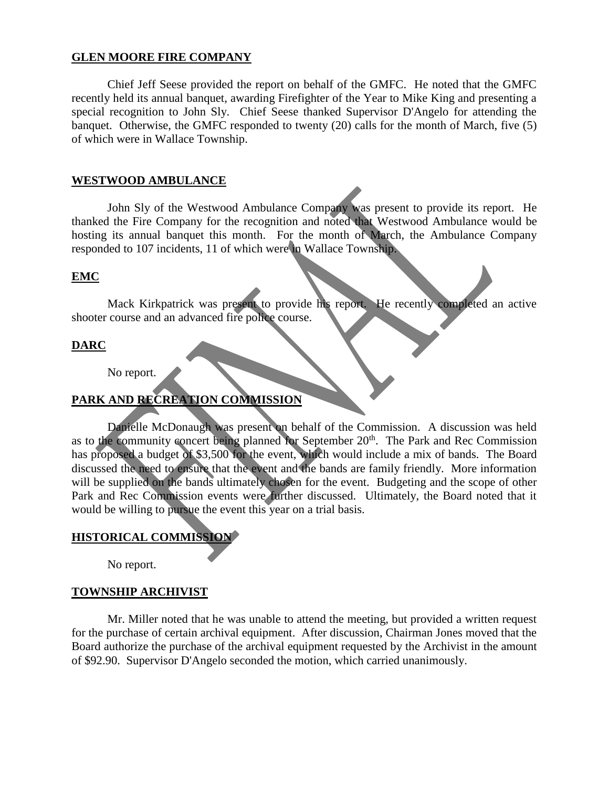### **GLEN MOORE FIRE COMPANY**

Chief Jeff Seese provided the report on behalf of the GMFC. He noted that the GMFC recently held its annual banquet, awarding Firefighter of the Year to Mike King and presenting a special recognition to John Sly. Chief Seese thanked Supervisor D'Angelo for attending the banquet. Otherwise, the GMFC responded to twenty (20) calls for the month of March, five (5) of which were in Wallace Township.

### **WESTWOOD AMBULANCE**

John Sly of the Westwood Ambulance Company was present to provide its report. He thanked the Fire Company for the recognition and noted that Westwood Ambulance would be hosting its annual banquet this month. For the month of March, the Ambulance Company responded to 107 incidents, 11 of which were in Wallace Township.

### **EMC**

Mack Kirkpatrick was present to provide his report. He recently completed an active shooter course and an advanced fire police course.

# **DARC**

No report.

# **PARK AND RECREATION COMMISSION**

Danielle McDonaugh was present on behalf of the Commission. A discussion was held as to the community concert being planned for September 20<sup>th</sup>. The Park and Rec Commission has proposed a budget of \$3,500 for the event, which would include a mix of bands. The Board discussed the need to ensure that the event and the bands are family friendly. More information will be supplied on the bands ultimately chosen for the event. Budgeting and the scope of other Park and Rec Commission events were further discussed. Ultimately, the Board noted that it would be willing to pursue the event this year on a trial basis.

# **HISTORICAL COMMISSION**

No report.

### **TOWNSHIP ARCHIVIST**

Mr. Miller noted that he was unable to attend the meeting, but provided a written request for the purchase of certain archival equipment. After discussion, Chairman Jones moved that the Board authorize the purchase of the archival equipment requested by the Archivist in the amount of \$92.90. Supervisor D'Angelo seconded the motion, which carried unanimously.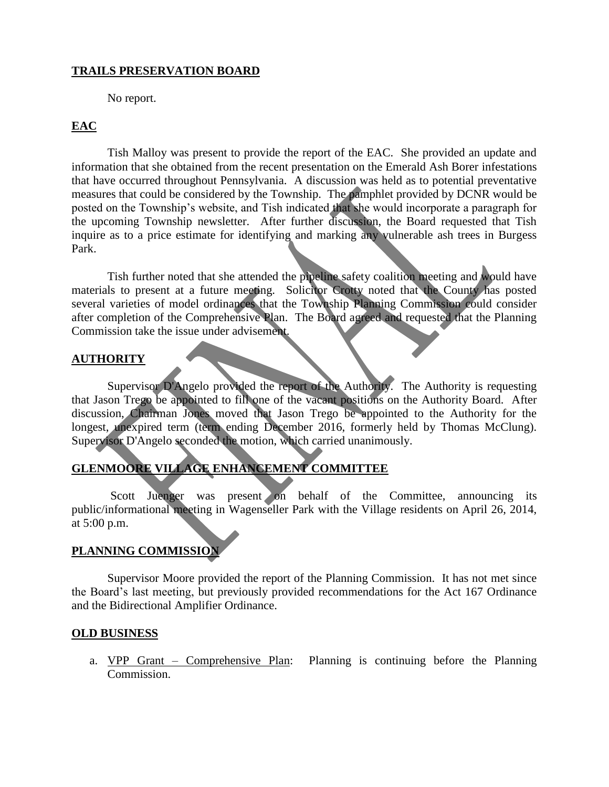## **TRAILS PRESERVATION BOARD**

No report.

# **EAC**

Tish Malloy was present to provide the report of the EAC. She provided an update and information that she obtained from the recent presentation on the Emerald Ash Borer infestations that have occurred throughout Pennsylvania. A discussion was held as to potential preventative measures that could be considered by the Township. The pamphlet provided by DCNR would be posted on the Township's website, and Tish indicated that she would incorporate a paragraph for the upcoming Township newsletter. After further discussion, the Board requested that Tish inquire as to a price estimate for identifying and marking any vulnerable ash trees in Burgess Park.

Tish further noted that she attended the pipeline safety coalition meeting and would have materials to present at a future meeting. Solicitor Crotty noted that the County has posted several varieties of model ordinances that the Township Planning Commission could consider after completion of the Comprehensive Plan. The Board agreed and requested that the Planning Commission take the issue under advisement.

### **AUTHORITY**

Supervisor D'Angelo provided the report of the Authority. The Authority is requesting that Jason Trego be appointed to fill one of the vacant positions on the Authority Board. After discussion, Chairman Jones moved that Jason Trego be appointed to the Authority for the longest, unexpired term (term ending December 2016, formerly held by Thomas McClung). Supervisor D'Angelo seconded the motion, which carried unanimously.

# **GLENMOORE VILLAGE ENHANCEMENT COMMITTEE**

Scott Juenger was present on behalf of the Committee, announcing its public/informational meeting in Wagenseller Park with the Village residents on April 26, 2014, at 5:00 p.m.

# **PLANNING COMMISSION**

Supervisor Moore provided the report of the Planning Commission. It has not met since the Board's last meeting, but previously provided recommendations for the Act 167 Ordinance and the Bidirectional Amplifier Ordinance.

### **OLD BUSINESS**

a. VPP Grant – Comprehensive Plan: Planning is continuing before the Planning Commission.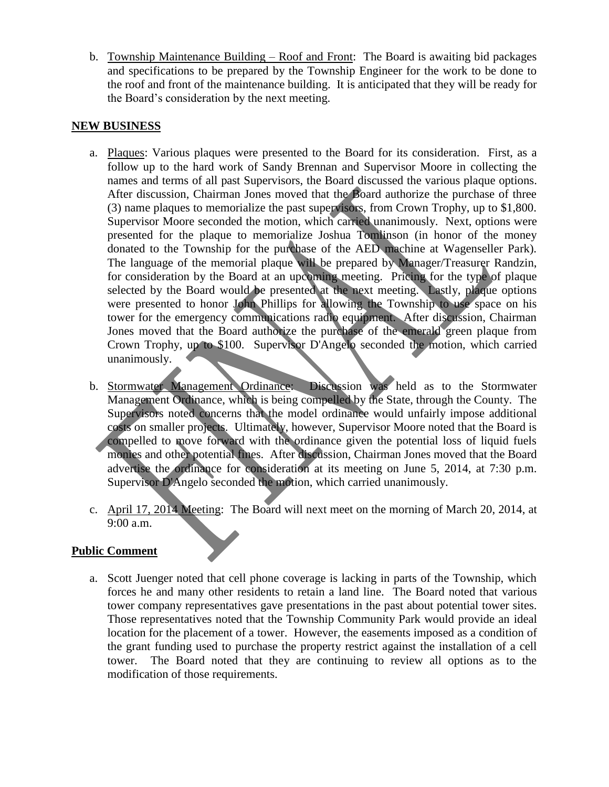b. Township Maintenance Building – Roof and Front: The Board is awaiting bid packages and specifications to be prepared by the Township Engineer for the work to be done to the roof and front of the maintenance building. It is anticipated that they will be ready for the Board's consideration by the next meeting.

## **NEW BUSINESS**

- a. Plaques: Various plaques were presented to the Board for its consideration. First, as a follow up to the hard work of Sandy Brennan and Supervisor Moore in collecting the names and terms of all past Supervisors, the Board discussed the various plaque options. After discussion, Chairman Jones moved that the Board authorize the purchase of three (3) name plaques to memorialize the past supervisors, from Crown Trophy, up to \$1,800. Supervisor Moore seconded the motion, which carried unanimously. Next, options were presented for the plaque to memorialize Joshua Tomlinson (in honor of the money donated to the Township for the purchase of the AED machine at Wagenseller Park). The language of the memorial plaque will be prepared by Manager/Treasurer Randzin, for consideration by the Board at an upcoming meeting. Pricing for the type of plaque selected by the Board would be presented at the next meeting. Lastly, plaque options were presented to honor John Phillips for allowing the Township to use space on his tower for the emergency communications radio equipment. After discussion, Chairman Jones moved that the Board authorize the purchase of the emerald green plaque from Crown Trophy, up to \$100. Supervisor D'Angelo seconded the motion, which carried unanimously.
- b. Stormwater Management Ordinance: Discussion was held as to the Stormwater Management Ordinance, which is being compelled by the State, through the County. The Supervisors noted concerns that the model ordinance would unfairly impose additional costs on smaller projects. Ultimately, however, Supervisor Moore noted that the Board is compelled to move forward with the ordinance given the potential loss of liquid fuels monies and other potential fines. After discussion, Chairman Jones moved that the Board advertise the ordinance for consideration at its meeting on June 5, 2014, at 7:30 p.m. Supervisor D'Angelo seconded the motion, which carried unanimously.
- c. April 17, 2014 Meeting: The Board will next meet on the morning of March 20, 2014, at 9:00 a.m.

### **Public Comment**

a. Scott Juenger noted that cell phone coverage is lacking in parts of the Township, which forces he and many other residents to retain a land line. The Board noted that various tower company representatives gave presentations in the past about potential tower sites. Those representatives noted that the Township Community Park would provide an ideal location for the placement of a tower. However, the easements imposed as a condition of the grant funding used to purchase the property restrict against the installation of a cell tower. The Board noted that they are continuing to review all options as to the modification of those requirements.